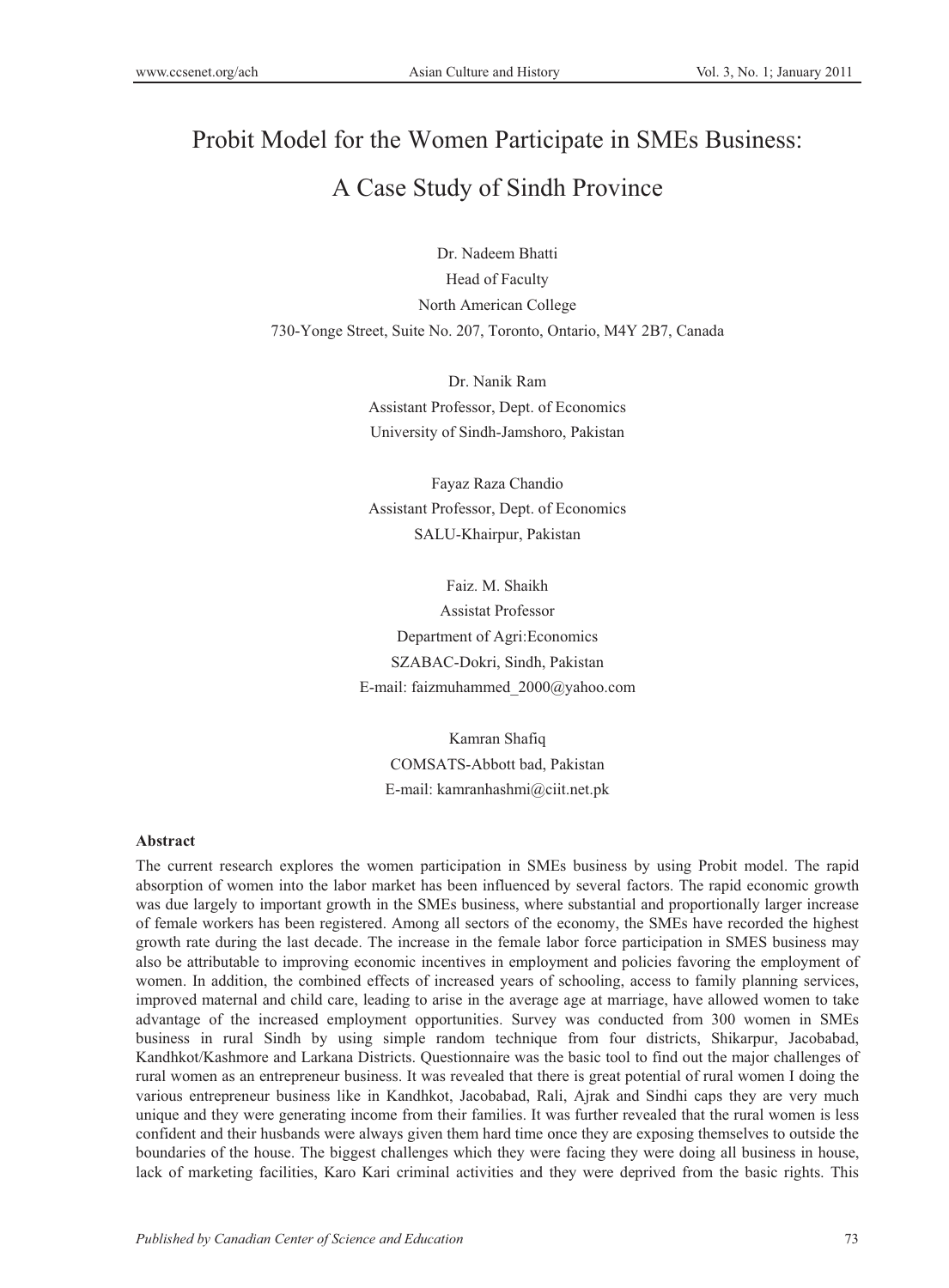# Probit Model for the Women Participate in SMEs Business: A Case Study of Sindh Province

Dr. Nadeem Bhatti Head of Faculty North American College 730-Yonge Street, Suite No. 207, Toronto, Ontario, M4Y 2B7, Canada

> Dr. Nanik Ram Assistant Professor, Dept. of Economics University of Sindh-Jamshoro, Pakistan

> Fayaz Raza Chandio Assistant Professor, Dept. of Economics SALU-Khairpur, Pakistan

Faiz. M. Shaikh Assistat Professor Department of Agri:Economics SZABAC-Dokri, Sindh, Pakistan E-mail: faizmuhammed\_2000@yahoo.com

Kamran Shafiq COMSATS-Abbott bad, Pakistan E-mail: kamranhashmi@ciit.net.pk

#### **Abstract**

The current research explores the women participation in SMEs business by using Probit model. The rapid absorption of women into the labor market has been influenced by several factors. The rapid economic growth was due largely to important growth in the SMEs business, where substantial and proportionally larger increase of female workers has been registered. Among all sectors of the economy, the SMEs have recorded the highest growth rate during the last decade. The increase in the female labor force participation in SMES business may also be attributable to improving economic incentives in employment and policies favoring the employment of women. In addition, the combined effects of increased years of schooling, access to family planning services, improved maternal and child care, leading to arise in the average age at marriage, have allowed women to take advantage of the increased employment opportunities. Survey was conducted from 300 women in SMEs business in rural Sindh by using simple random technique from four districts, Shikarpur, Jacobabad, Kandhkot/Kashmore and Larkana Districts. Questionnaire was the basic tool to find out the major challenges of rural women as an entrepreneur business. It was revealed that there is great potential of rural women I doing the various entrepreneur business like in Kandhkot, Jacobabad, Rali, Ajrak and Sindhi caps they are very much unique and they were generating income from their families. It was further revealed that the rural women is less confident and their husbands were always given them hard time once they are exposing themselves to outside the boundaries of the house. The biggest challenges which they were facing they were doing all business in house, lack of marketing facilities, Karo Kari criminal activities and they were deprived from the basic rights. This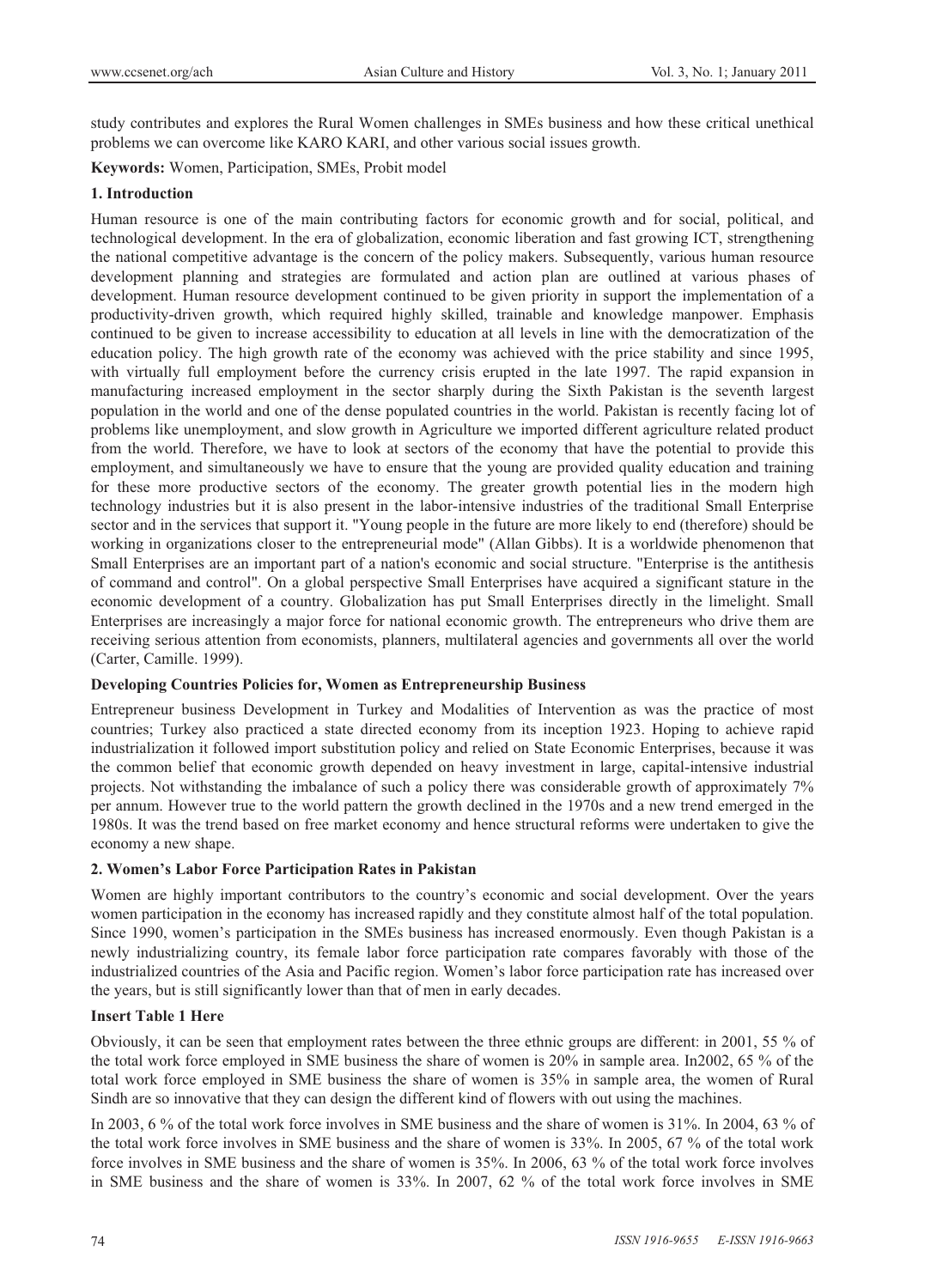study contributes and explores the Rural Women challenges in SMEs business and how these critical unethical problems we can overcome like KARO KARI, and other various social issues growth.

**Keywords:** Women, Participation, SMEs, Probit model

#### **1. Introduction**

Human resource is one of the main contributing factors for economic growth and for social, political, and technological development. In the era of globalization, economic liberation and fast growing ICT, strengthening the national competitive advantage is the concern of the policy makers. Subsequently, various human resource development planning and strategies are formulated and action plan are outlined at various phases of development. Human resource development continued to be given priority in support the implementation of a productivity-driven growth, which required highly skilled, trainable and knowledge manpower. Emphasis continued to be given to increase accessibility to education at all levels in line with the democratization of the education policy. The high growth rate of the economy was achieved with the price stability and since 1995, with virtually full employment before the currency crisis erupted in the late 1997. The rapid expansion in manufacturing increased employment in the sector sharply during the Sixth Pakistan is the seventh largest population in the world and one of the dense populated countries in the world. Pakistan is recently facing lot of problems like unemployment, and slow growth in Agriculture we imported different agriculture related product from the world. Therefore, we have to look at sectors of the economy that have the potential to provide this employment, and simultaneously we have to ensure that the young are provided quality education and training for these more productive sectors of the economy. The greater growth potential lies in the modern high technology industries but it is also present in the labor-intensive industries of the traditional Small Enterprise sector and in the services that support it. "Young people in the future are more likely to end (therefore) should be working in organizations closer to the entrepreneurial mode" (Allan Gibbs). It is a worldwide phenomenon that Small Enterprises are an important part of a nation's economic and social structure. "Enterprise is the antithesis of command and control". On a global perspective Small Enterprises have acquired a significant stature in the economic development of a country. Globalization has put Small Enterprises directly in the limelight. Small Enterprises are increasingly a major force for national economic growth. The entrepreneurs who drive them are receiving serious attention from economists, planners, multilateral agencies and governments all over the world (Carter, Camille. 1999).

#### **Developing Countries Policies for, Women as Entrepreneurship Business**

Entrepreneur business Development in Turkey and Modalities of Intervention as was the practice of most countries; Turkey also practiced a state directed economy from its inception 1923. Hoping to achieve rapid industrialization it followed import substitution policy and relied on State Economic Enterprises, because it was the common belief that economic growth depended on heavy investment in large, capital-intensive industrial projects. Not withstanding the imbalance of such a policy there was considerable growth of approximately 7% per annum. However true to the world pattern the growth declined in the 1970s and a new trend emerged in the 1980s. It was the trend based on free market economy and hence structural reforms were undertaken to give the economy a new shape.

#### **2. Women's Labor Force Participation Rates in Pakistan**

Women are highly important contributors to the country's economic and social development. Over the years women participation in the economy has increased rapidly and they constitute almost half of the total population. Since 1990, women's participation in the SMEs business has increased enormously. Even though Pakistan is a newly industrializing country, its female labor force participation rate compares favorably with those of the industrialized countries of the Asia and Pacific region. Women's labor force participation rate has increased over the years, but is still significantly lower than that of men in early decades.

#### **Insert Table 1 Here**

Obviously, it can be seen that employment rates between the three ethnic groups are different: in 2001, 55 % of the total work force employed in SME business the share of women is 20% in sample area. In2002, 65 % of the total work force employed in SME business the share of women is 35% in sample area, the women of Rural Sindh are so innovative that they can design the different kind of flowers with out using the machines.

In 2003, 6 % of the total work force involves in SME business and the share of women is 31%. In 2004, 63 % of the total work force involves in SME business and the share of women is 33%. In 2005, 67 % of the total work force involves in SME business and the share of women is 35%. In 2006, 63 % of the total work force involves in SME business and the share of women is 33%. In 2007, 62 % of the total work force involves in SME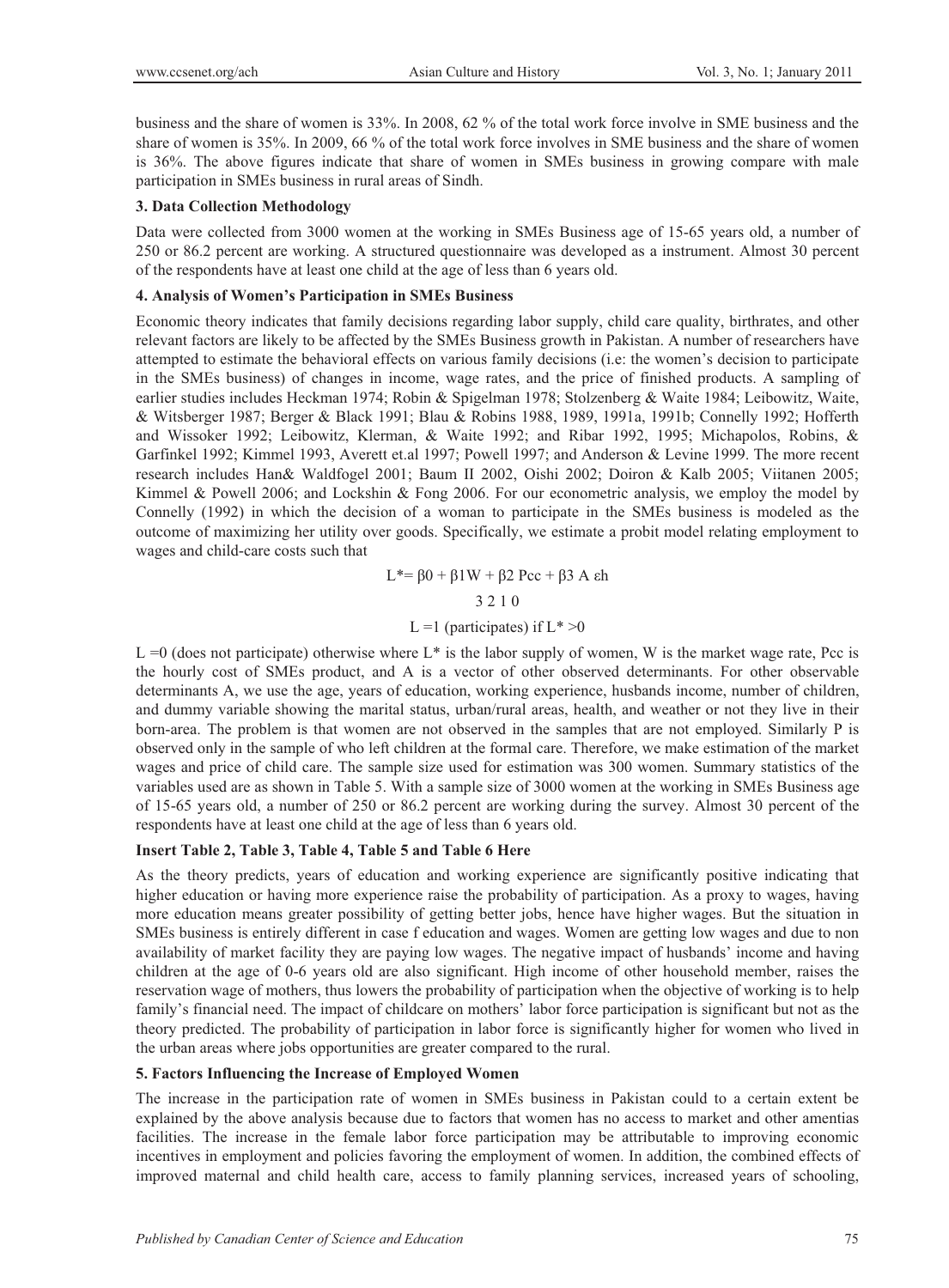business and the share of women is 33%. In 2008, 62 % of the total work force involve in SME business and the share of women is 35%. In 2009, 66 % of the total work force involves in SME business and the share of women is 36%. The above figures indicate that share of women in SMEs business in growing compare with male participation in SMEs business in rural areas of Sindh.

#### **3. Data Collection Methodology**

Data were collected from 3000 women at the working in SMEs Business age of 15-65 years old, a number of 250 or 86.2 percent are working. A structured questionnaire was developed as a instrument. Almost 30 percent of the respondents have at least one child at the age of less than 6 years old.

#### **4. Analysis of Women's Participation in SMEs Business**

Economic theory indicates that family decisions regarding labor supply, child care quality, birthrates, and other relevant factors are likely to be affected by the SMEs Business growth in Pakistan. A number of researchers have attempted to estimate the behavioral effects on various family decisions (i.e: the women's decision to participate in the SMEs business) of changes in income, wage rates, and the price of finished products. A sampling of earlier studies includes Heckman 1974; Robin & Spigelman 1978; Stolzenberg & Waite 1984; Leibowitz, Waite, & Witsberger 1987; Berger & Black 1991; Blau & Robins 1988, 1989, 1991a, 1991b; Connelly 1992; Hofferth and Wissoker 1992; Leibowitz, Klerman, & Waite 1992; and Ribar 1992, 1995; Michapolos, Robins, & Garfinkel 1992; Kimmel 1993, Averett et.al 1997; Powell 1997; and Anderson & Levine 1999. The more recent research includes Han& Waldfogel 2001; Baum II 2002, Oishi 2002; Doiron & Kalb 2005; Viitanen 2005; Kimmel & Powell 2006; and Lockshin & Fong 2006. For our econometric analysis, we employ the model by Connelly (1992) in which the decision of a woman to participate in the SMEs business is modeled as the outcome of maximizing her utility over goods. Specifically, we estimate a probit model relating employment to wages and child-care costs such that

 $L^* = \beta 0 + \beta 1 W + \beta 2 Pcc + \beta 3 A \rho$ 

3 2 1 0

L =1 (participates) if  $L^* > 0$ 

 $L = 0$  (does not participate) otherwise where  $L^*$  is the labor supply of women, W is the market wage rate, Pcc is the hourly cost of SMEs product, and A is a vector of other observed determinants. For other observable determinants A, we use the age, years of education, working experience, husbands income, number of children, and dummy variable showing the marital status, urban/rural areas, health, and weather or not they live in their born-area. The problem is that women are not observed in the samples that are not employed. Similarly P is observed only in the sample of who left children at the formal care. Therefore, we make estimation of the market wages and price of child care. The sample size used for estimation was 300 women. Summary statistics of the variables used are as shown in Table 5. With a sample size of 3000 women at the working in SMEs Business age of 15-65 years old, a number of 250 or 86.2 percent are working during the survey. Almost 30 percent of the respondents have at least one child at the age of less than 6 years old.

#### **Insert Table 2, Table 3, Table 4, Table 5 and Table 6 Here**

As the theory predicts, years of education and working experience are significantly positive indicating that higher education or having more experience raise the probability of participation. As a proxy to wages, having more education means greater possibility of getting better jobs, hence have higher wages. But the situation in SMEs business is entirely different in case f education and wages. Women are getting low wages and due to non availability of market facility they are paying low wages. The negative impact of husbands' income and having children at the age of 0-6 years old are also significant. High income of other household member, raises the reservation wage of mothers, thus lowers the probability of participation when the objective of working is to help family's financial need. The impact of childcare on mothers' labor force participation is significant but not as the theory predicted. The probability of participation in labor force is significantly higher for women who lived in the urban areas where jobs opportunities are greater compared to the rural.

#### **5. Factors Influencing the Increase of Employed Women**

The increase in the participation rate of women in SMEs business in Pakistan could to a certain extent be explained by the above analysis because due to factors that women has no access to market and other amentias facilities. The increase in the female labor force participation may be attributable to improving economic incentives in employment and policies favoring the employment of women. In addition, the combined effects of improved maternal and child health care, access to family planning services, increased years of schooling,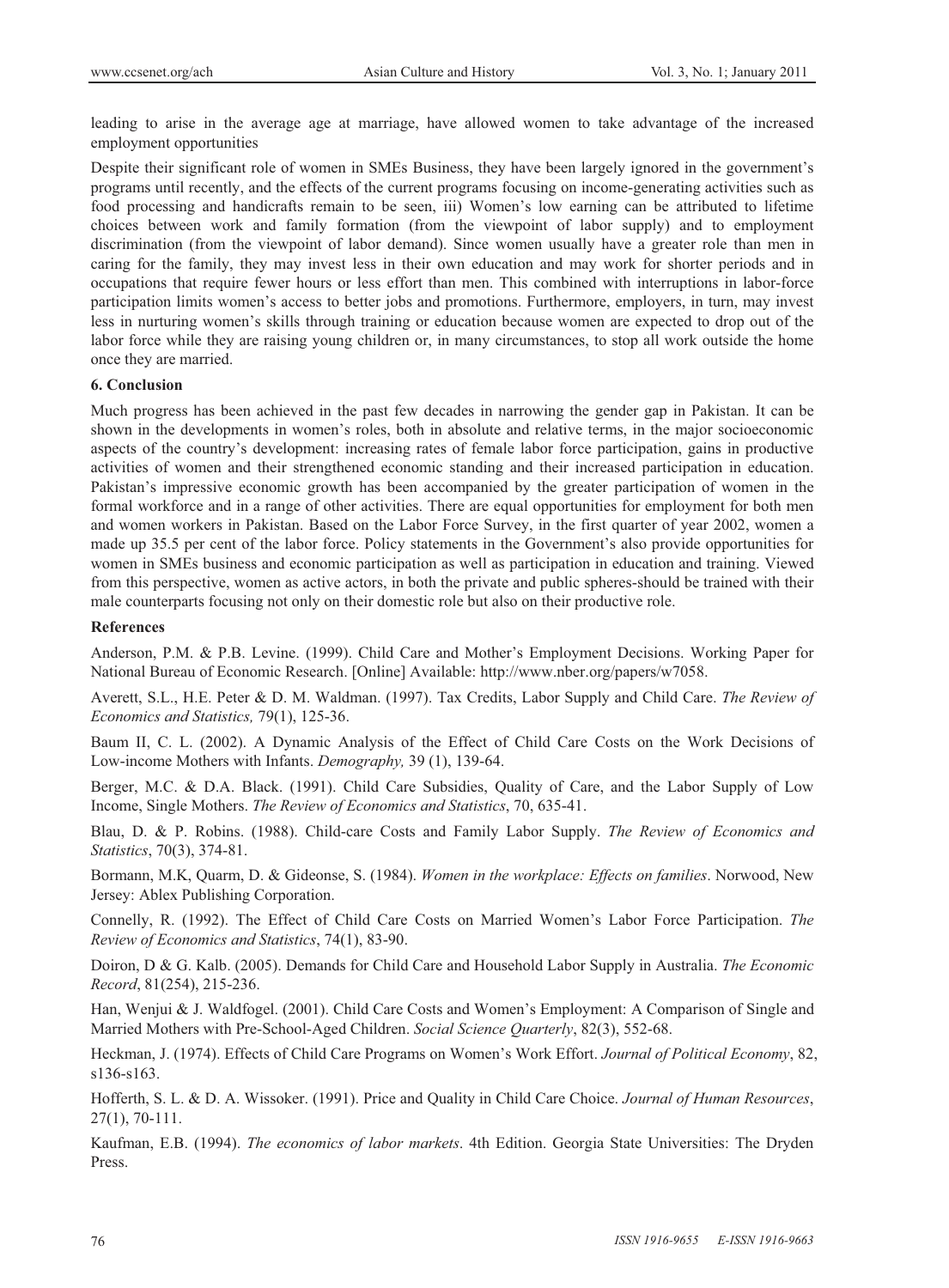leading to arise in the average age at marriage, have allowed women to take advantage of the increased employment opportunities

Despite their significant role of women in SMEs Business, they have been largely ignored in the government's programs until recently, and the effects of the current programs focusing on income-generating activities such as food processing and handicrafts remain to be seen, iii) Women's low earning can be attributed to lifetime choices between work and family formation (from the viewpoint of labor supply) and to employment discrimination (from the viewpoint of labor demand). Since women usually have a greater role than men in caring for the family, they may invest less in their own education and may work for shorter periods and in occupations that require fewer hours or less effort than men. This combined with interruptions in labor-force participation limits women's access to better jobs and promotions. Furthermore, employers, in turn, may invest less in nurturing women's skills through training or education because women are expected to drop out of the labor force while they are raising young children or, in many circumstances, to stop all work outside the home once they are married.

#### **6. Conclusion**

Much progress has been achieved in the past few decades in narrowing the gender gap in Pakistan. It can be shown in the developments in women's roles, both in absolute and relative terms, in the major socioeconomic aspects of the country's development: increasing rates of female labor force participation, gains in productive activities of women and their strengthened economic standing and their increased participation in education. Pakistan's impressive economic growth has been accompanied by the greater participation of women in the formal workforce and in a range of other activities. There are equal opportunities for employment for both men and women workers in Pakistan. Based on the Labor Force Survey, in the first quarter of year 2002, women a made up 35.5 per cent of the labor force. Policy statements in the Government's also provide opportunities for women in SMEs business and economic participation as well as participation in education and training. Viewed from this perspective, women as active actors, in both the private and public spheres-should be trained with their male counterparts focusing not only on their domestic role but also on their productive role.

#### **References**

Anderson, P.M. & P.B. Levine. (1999). Child Care and Mother's Employment Decisions. Working Paper for National Bureau of Economic Research. [Online] Available: http://www.nber.org/papers/w7058.

Averett, S.L., H.E. Peter & D. M. Waldman. (1997). Tax Credits, Labor Supply and Child Care. *The Review of Economics and Statistics,* 79(1), 125-36.

Baum II, C. L. (2002). A Dynamic Analysis of the Effect of Child Care Costs on the Work Decisions of Low-income Mothers with Infants. *Demography,* 39 (1), 139-64.

Berger, M.C. & D.A. Black. (1991). Child Care Subsidies, Quality of Care, and the Labor Supply of Low Income, Single Mothers. *The Review of Economics and Statistics*, 70, 635-41.

Blau, D. & P. Robins. (1988). Child-care Costs and Family Labor Supply. *The Review of Economics and Statistics*, 70(3), 374-81.

Bormann, M.K, Quarm, D. & Gideonse, S. (1984). *Women in the workplace: Effects on families*. Norwood, New Jersey: Ablex Publishing Corporation.

Connelly, R. (1992). The Effect of Child Care Costs on Married Women's Labor Force Participation. *The Review of Economics and Statistics*, 74(1), 83-90.

Doiron, D & G. Kalb. (2005). Demands for Child Care and Household Labor Supply in Australia. *The Economic Record*, 81(254), 215-236.

Han, Wenjui & J. Waldfogel. (2001). Child Care Costs and Women's Employment: A Comparison of Single and Married Mothers with Pre-School-Aged Children. *Social Science Quarterly*, 82(3), 552-68.

Heckman, J. (1974). Effects of Child Care Programs on Women's Work Effort. *Journal of Political Economy*, 82, s136-s163.

Hofferth, S. L. & D. A. Wissoker. (1991). Price and Quality in Child Care Choice. *Journal of Human Resources*, 27(1), 70-111.

Kaufman, E.B. (1994). *The economics of labor markets*. 4th Edition. Georgia State Universities: The Dryden Press.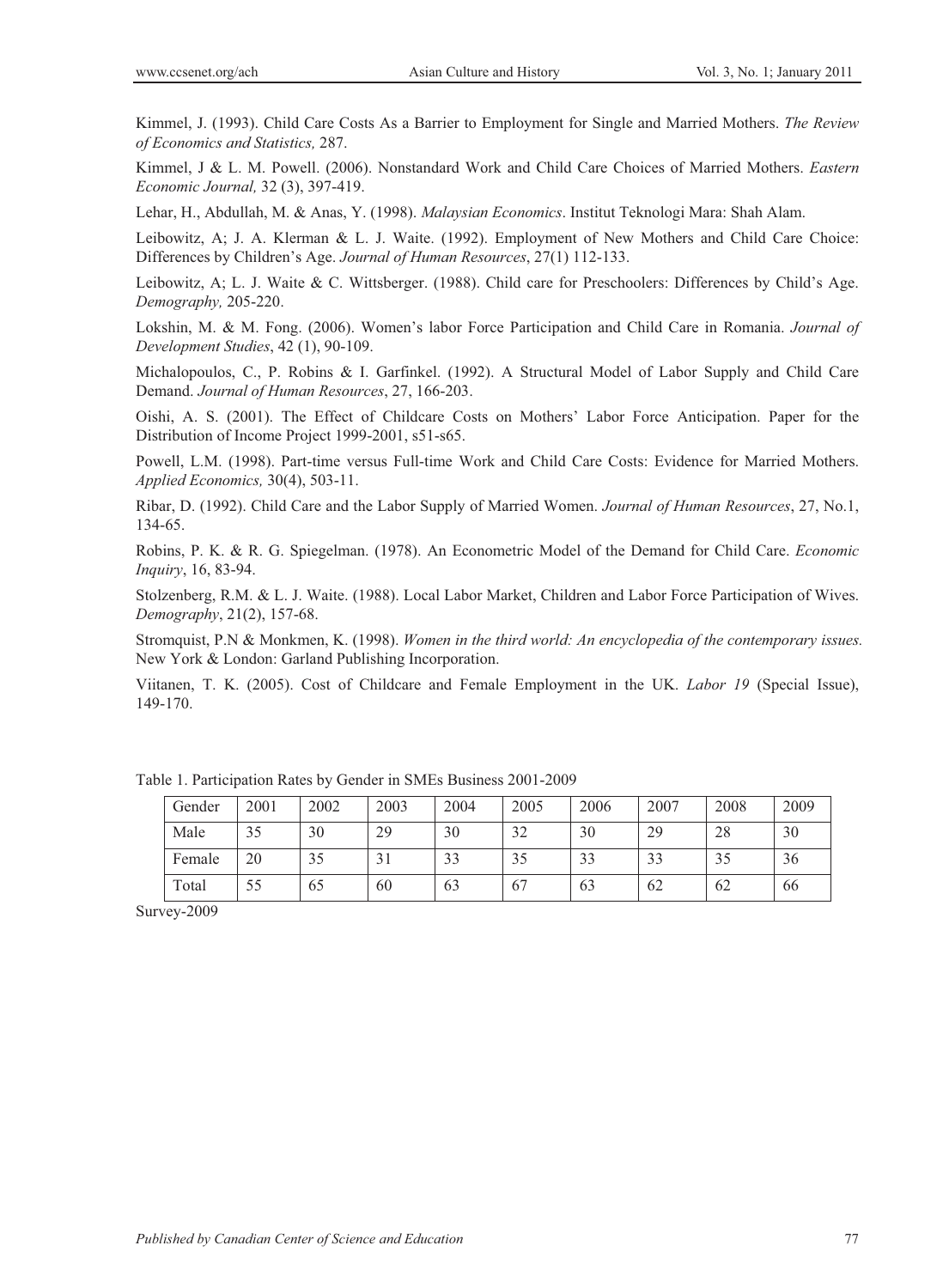Kimmel, J. (1993). Child Care Costs As a Barrier to Employment for Single and Married Mothers. *The Review of Economics and Statistics,* 287.

Kimmel, J & L. M. Powell. (2006). Nonstandard Work and Child Care Choices of Married Mothers. *Eastern Economic Journal,* 32 (3), 397-419.

Lehar, H., Abdullah, M. & Anas, Y. (1998). *Malaysian Economics*. Institut Teknologi Mara: Shah Alam.

Leibowitz, A; J. A. Klerman & L. J. Waite. (1992). Employment of New Mothers and Child Care Choice: Differences by Children's Age. *Journal of Human Resources*, 27(1) 112-133.

Leibowitz, A; L. J. Waite & C. Wittsberger. (1988). Child care for Preschoolers: Differences by Child's Age. *Demography,* 205-220.

Lokshin, M. & M. Fong. (2006). Women's labor Force Participation and Child Care in Romania. *Journal of Development Studies*, 42 (1), 90-109.

Michalopoulos, C., P. Robins & I. Garfinkel. (1992). A Structural Model of Labor Supply and Child Care Demand. *Journal of Human Resources*, 27, 166-203.

Oishi, A. S. (2001). The Effect of Childcare Costs on Mothers' Labor Force Anticipation. Paper for the Distribution of Income Project 1999-2001, s51-s65.

Powell, L.M. (1998). Part-time versus Full-time Work and Child Care Costs: Evidence for Married Mothers. *Applied Economics,* 30(4), 503-11.

Ribar, D. (1992). Child Care and the Labor Supply of Married Women. *Journal of Human Resources*, 27, No.1, 134-65.

Robins, P. K. & R. G. Spiegelman. (1978). An Econometric Model of the Demand for Child Care. *Economic Inquiry*, 16, 83-94.

Stolzenberg, R.M. & L. J. Waite. (1988). Local Labor Market, Children and Labor Force Participation of Wives. *Demography*, 21(2), 157-68.

Stromquist, P.N & Monkmen, K. (1998). *Women in the third world: An encyclopedia of the contemporary issues.*  New York & London: Garland Publishing Incorporation.

Viitanen, T. K. (2005). Cost of Childcare and Female Employment in the UK. *Labor 19* (Special Issue), 149-170.

| Gender | 2001 | 2002 | 2003 | 2004 | 2005 | 2006 | 2007 | 2008 | 2009 |
|--------|------|------|------|------|------|------|------|------|------|
| Male   | 35   | 30   | 29   | 30   | 32   | 30   | 29   | 28   | 30   |
| Female | 20   |      | JІ   | 33   | 35   | 33   | 33   | 35   | 36   |
| Total  | 55   | 65   | 60   | 63   | 67   | 63   | 62   | 62   | 66   |

Table 1. Participation Rates by Gender in SMEs Business 2001-2009

Survey-2009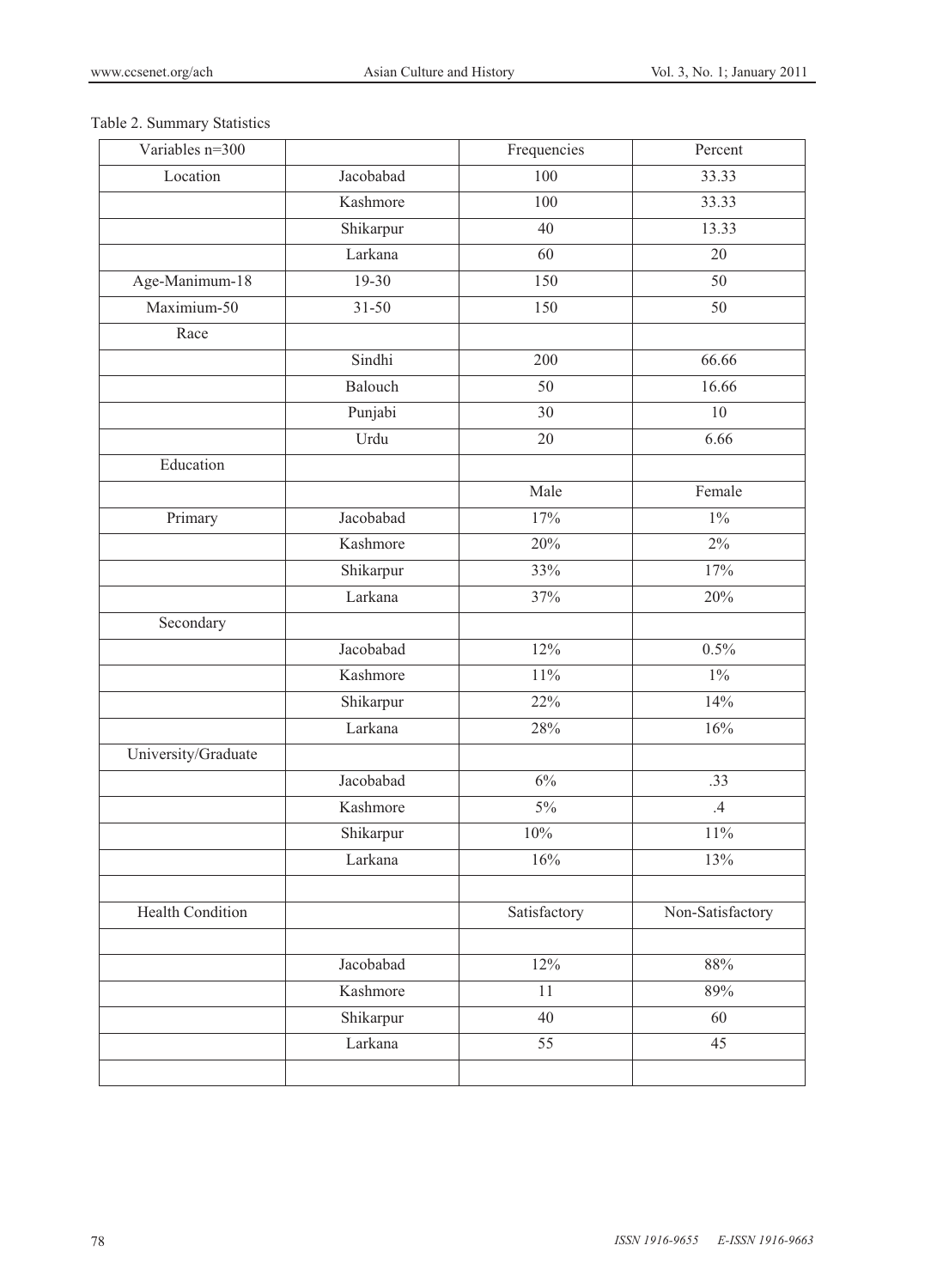## Table 2. Summary Statistics

| Variables n=300     |           | Frequencies  | Percent          |
|---------------------|-----------|--------------|------------------|
| Location            | Jacobabad | 100          | 33.33            |
|                     | Kashmore  | 100          | 33.33            |
|                     | Shikarpur | 40           | 13.33            |
|                     | Larkana   | 60           | 20               |
| Age-Manimum-18      | 19-30     | 150          | 50               |
| Maximium-50         | $31 - 50$ | 150          | 50               |
| Race                |           |              |                  |
|                     | Sindhi    | 200          | 66.66            |
|                     | Balouch   | 50           | 16.66            |
|                     | Punjabi   | 30           | 10               |
|                     | Urdu      | 20           | 6.66             |
| Education           |           |              |                  |
|                     |           | Male         | Female           |
| Primary             | Jacobabad | 17%          | $1\%$            |
|                     | Kashmore  | 20%          | $2\%$            |
|                     | Shikarpur | 33%          | 17%              |
|                     | Larkana   | 37%          | 20%              |
| Secondary           |           |              |                  |
|                     | Jacobabad | 12%          | 0.5%             |
|                     | Kashmore  | $11\%$       | $1\%$            |
|                     | Shikarpur | 22%          | 14%              |
|                     | Larkana   | 28%          | 16%              |
| University/Graduate |           |              |                  |
|                     | Jacobabad | $6\%$        | .33              |
|                     | Kashmore  | $5\%$        | .4               |
|                     | Shikarpur | $10\%$       | 11%              |
|                     | Larkana   | 16%          | 13%              |
|                     |           |              |                  |
| Health Condition    |           | Satisfactory | Non-Satisfactory |
|                     |           |              |                  |
|                     | Jacobabad | 12%          | $88\%$           |
|                     | Kashmore  | 11           | 89%              |
|                     | Shikarpur | 40           | 60               |
|                     | Larkana   | 55           | 45               |
|                     |           |              |                  |